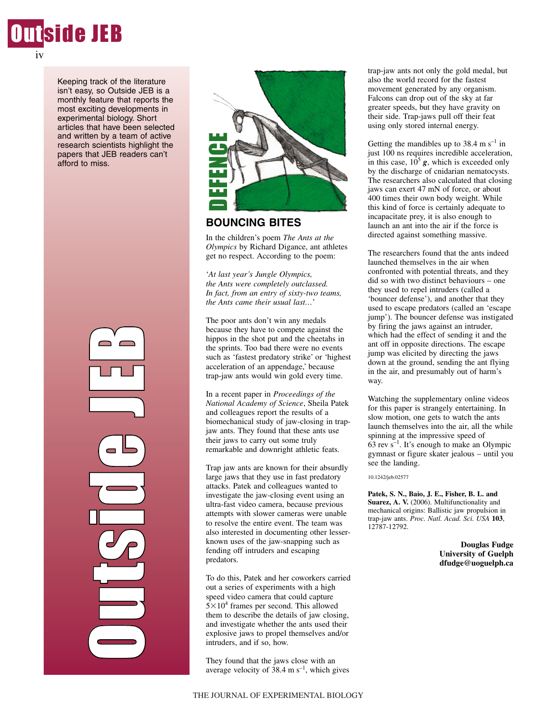

iv

Keeping track of the literature isn't easy, so Outside JEB is a monthly feature that reports the most exciting developments in experimental biology. Short articles that have been selected and written by a team of active research scientists highlight the papers that JEB readers can't afford to miss.

> Ol<br>Lindon (d. 1911)<br>Lindon (d. 1911) **the component**  $\mathcal{C}_{\mathcal{P}}$ in 1999<br>September 1999<br>September 1999 d<br>U e J E $\boxed{1}$



#### **BOUNCING BITES**

In the children's poem *The Ants at the Olympics* by Richard Digance, ant athletes get no respect. According to the poem:

'*At last year's Jungle Olympics, the Ants were completely outclassed. In fact, from an entry of sixty-two teams, the Ants came their usual last…*'

The poor ants don't win any medals because they have to compete against the hippos in the shot put and the cheetahs in the sprints. Too bad there were no events such as 'fastest predatory strike' or 'highest acceleration of an appendage,' because trap-jaw ants would win gold every time.

In a recent paper in *Proceedings of the National Academy of Science*, Sheila Patek and colleagues report the results of a biomechanical study of jaw-closing in trapjaw ants. They found that these ants use their jaws to carry out some truly remarkable and downright athletic feats.

Trap jaw ants are known for their absurdly large jaws that they use in fast predatory attacks. Patek and colleagues wanted to investigate the jaw-closing event using an ultra-fast video camera, because previous attempts with slower cameras were unable to resolve the entire event. The team was also interested in documenting other lesserknown uses of the jaw-snapping such as fending off intruders and escaping predators.

To do this, Patek and her coworkers carried out a series of experiments with a high speed video camera that could capture  $5 \times 10^4$  frames per second. This allowed them to describe the details of jaw closing, and investigate whether the ants used their explosive jaws to propel themselves and/or intruders, and if so, how.

They found that the jaws close with an average velocity of 38.4  $\text{m s}^{-1}$ , which gives trap-jaw ants not only the gold medal, but also the world record for the fastest movement generated by any organism. Falcons can drop out of the sky at far greater speeds, but they have gravity on their side. Trap-jaws pull off their feat using only stored internal energy.

Getting the mandibles up to 38.4 m  $s^{-1}$  in just 100 ns requires incredible acceleration, in this case,  $10^5$  g, which is exceeded only by the discharge of cnidarian nematocysts. The researchers also calculated that closing jaws can exert 47 mN of force, or about 400 times their own body weight. While this kind of force is certainly adequate to incapacitate prey, it is also enough to launch an ant into the air if the force is directed against something massive.

The researchers found that the ants indeed launched themselves in the air when confronted with potential threats, and they did so with two distinct behaviours – one they used to repel intruders (called a 'bouncer defense'), and another that they used to escape predators (called an 'escape jump'). The bouncer defense was instigated by firing the jaws against an intruder, which had the effect of sending it and the ant off in opposite directions. The escape jump was elicited by directing the jaws down at the ground, sending the ant flying in the air, and presumably out of harm's way.

Watching the supplementary online videos for this paper is strangely entertaining. In slow motion, one gets to watch the ants launch themselves into the air, all the while spinning at the impressive speed of  $63$  rev s<sup>-1</sup>. It's enough to make an Olympic gymnast or figure skater jealous – until you see the landing.

10.1242/jeb.02577

**Patek, S. N., Baio, J. E., Fisher, B. L. and Suarez, A. V.** (2006). Multifunctionality and mechanical origins: Ballistic jaw propulsion in trap-jaw ants. *Proc. Natl. Acad. Sci. USA* **103**, 12787-12792.

> **Douglas Fudge University of Guelph dfudge@uoguelph.ca**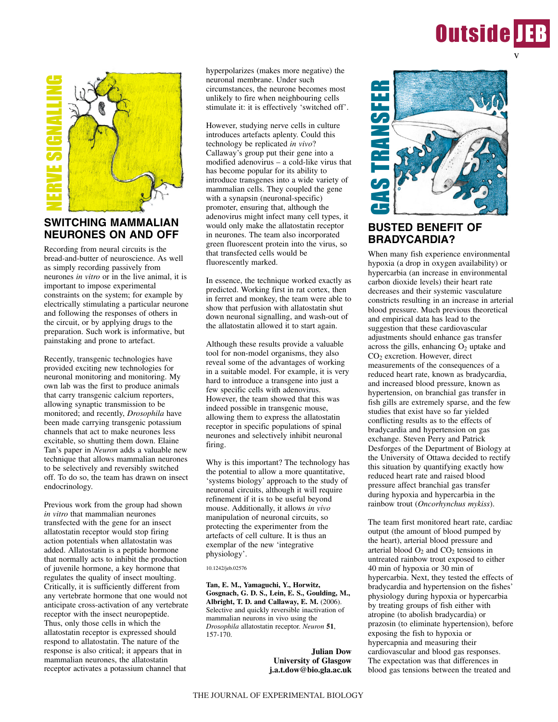# **Outside DEB** v



## **SWITCHING MAMMALIAN NEURONES ON AND OFF**

Recording from neural circuits is the bread-and-butter of neuroscience. As well as simply recording passively from neurones *in vitro* or in the live animal, it is important to impose experimental constraints on the system; for example by electrically stimulating a particular neurone and following the responses of others in the circuit, or by applying drugs to the preparation. Such work is informative, but painstaking and prone to artefact.

Recently, transgenic technologies have provided exciting new technologies for neuronal monitoring and monitoring. My own lab was the first to produce animals that carry transgenic calcium reporters, allowing synaptic transmission to be monitored; and recently, *Drosophila* have been made carrying transgenic potassium channels that act to make neurones less excitable, so shutting them down. Elaine Tan's paper in *Neuron* adds a valuable new technique that allows mammalian neurones to be selectively and reversibly switched off. To do so, the team has drawn on insect endocrinology.

Previous work from the group had shown *in vitro* that mammalian neurones transfected with the gene for an insect allatostatin receptor would stop firing action potentials when allatostatin was added. Allatostatin is a peptide hormone that normally acts to inhibit the production of juvenile hormone, a key hormone that regulates the quality of insect moulting. Critically, it is sufficiently different from any vertebrate hormone that one would not anticipate cross-activation of any vertebrate receptor with the insect neuropeptide. Thus, only those cells in which the allatostatin receptor is expressed should respond to allatostatin. The nature of the response is also critical; it appears that in mammalian neurones, the allatostatin receptor activates a potassium channel that

hyperpolarizes (makes more negative) the neuronal membrane. Under such circumstances, the neurone becomes most unlikely to fire when neighbouring cells stimulate it: it is effectively 'switched off'.

However, studying nerve cells in culture introduces artefacts aplenty. Could this technology be replicated *in vivo*? Callaway's group put their gene into a modified adenovirus – a cold-like virus that has become popular for its ability to introduce transgenes into a wide variety of mammalian cells. They coupled the gene with a synapsin (neuronal-specific) promoter, ensuring that, although the adenovirus might infect many cell types, it would only make the allatostatin receptor in neurones. The team also incorporated green fluorescent protein into the virus, so that transfected cells would be fluorescently marked.

In essence, the technique worked exactly as predicted. Working first in rat cortex, then in ferret and monkey, the team were able to show that perfusion with allatostatin shut down neuronal signalling, and wash-out of the allatostatin allowed it to start again.

Although these results provide a valuable tool for non-model organisms, they also reveal some of the advantages of working in a suitable model. For example, it is very hard to introduce a transgene into just a few specific cells with adenovirus. However, the team showed that this was indeed possible in transgenic mouse, allowing them to express the allatostatin receptor in specific populations of spinal neurones and selectively inhibit neuronal firing.

Why is this important? The technology has the potential to allow a more quantitative, 'systems biology' approach to the study of neuronal circuits, although it will require refinement if it is to be useful beyond mouse. Additionally, it allows *in vivo* manipulation of neuronal circuits, so protecting the experimenter from the artefacts of cell culture. It is thus an exemplar of the new 'integrative physiology'.

10.1242/jeb.02576

**Tan, E. M., Yamaguchi, Y., Horwitz, Gosgnach, G. D. S., Lein, E. S., Goulding, M., Albright, T. D. and Callaway, E. M.** (2006). Selective and quickly reversible inactivation of mammalian neurons in vivo using the *Drosophila* allatostatin receptor. *Neuron* **51**, 157-170.

> **Julian Dow University of Glasgow j.a.t.dow@bio.gla.ac.uk**



### **BUSTED BENEFIT OF BRADYCARDIA?**

When many fish experience environmental hypoxia (a drop in oxygen availability) or hypercarbia (an increase in environmental carbon dioxide levels) their heart rate decreases and their systemic vasculature constricts resulting in an increase in arterial blood pressure. Much previous theoretical and empirical data has lead to the suggestion that these cardiovascular adjustments should enhance gas transfer across the gills, enhancing  $O<sub>2</sub>$  uptake and CO<sub>2</sub> excretion. However, direct measurements of the consequences of a reduced heart rate, known as bradycardia, and increased blood pressure, known as hypertension, on branchial gas transfer in fish gills are extremely sparse, and the few studies that exist have so far yielded conflicting results as to the effects of bradycardia and hypertension on gas exchange. Steven Perry and Patrick Desforges of the Department of Biology at the University of Ottawa decided to rectify this situation by quantifying exactly how reduced heart rate and raised blood pressure affect branchial gas transfer during hypoxia and hypercarbia in the rainbow trout (*Oncorhynchus mykiss*).

The team first monitored heart rate, cardiac output (the amount of blood pumped by the heart), arterial blood pressure and arterial blood  $O_2$  and  $CO_2$  tensions in untreated rainbow trout exposed to either 40 min of hypoxia or 30 min of hypercarbia. Next, they tested the effects of bradycardia and hypertension on the fishes' physiology during hypoxia or hypercarbia by treating groups of fish either with atropine (to abolish bradycardia) or prazosin (to eliminate hypertension), before exposing the fish to hypoxia or hypercapnia and measuring their cardiovascular and blood gas responses. The expectation was that differences in blood gas tensions between the treated and